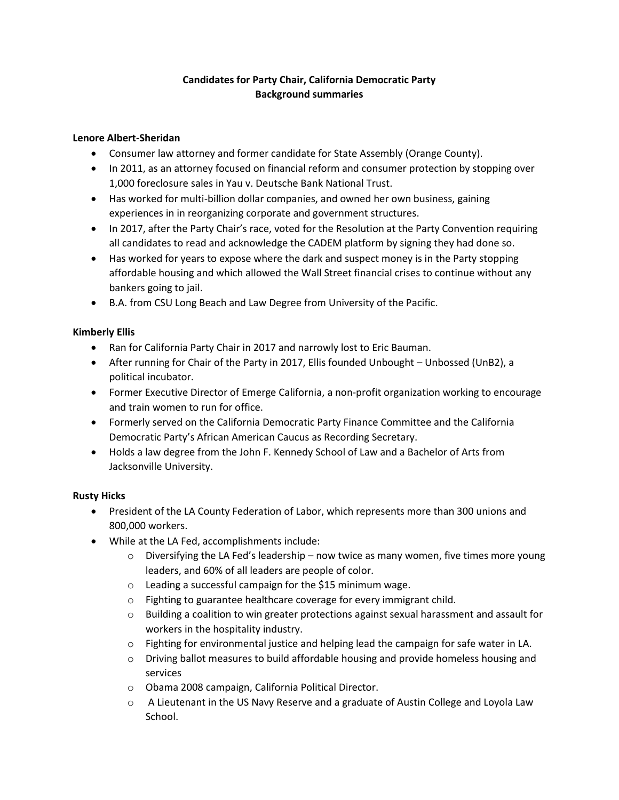# **Candidates for Party Chair, California Democratic Party Background summaries**

### **Lenore Albert-Sheridan**

- Consumer law attorney and former candidate for State Assembly (Orange County).
- In 2011, as an attorney focused on financial reform and consumer protection by stopping over 1,000 foreclosure sales in Yau v. Deutsche Bank National Trust.
- Has worked for multi-billion dollar companies, and owned her own business, gaining experiences in in reorganizing corporate and government structures.
- In 2017, after the Party Chair's race, voted for the Resolution at the Party Convention requiring all candidates to read and acknowledge the CADEM platform by signing they had done so.
- Has worked for years to expose where the dark and suspect money is in the Party stopping affordable housing and which allowed the Wall Street financial crises to continue without any bankers going to jail.
- B.A. from CSU Long Beach and Law Degree from University of the Pacific.

### **Kimberly Ellis**

- Ran for California Party Chair in 2017 and narrowly lost to Eric Bauman.
- After running for Chair of the Party in 2017, Ellis founded Unbought Unbossed (UnB2), a political incubator.
- Former Executive Director of Emerge California, a non-profit organization working to encourage and train women to run for office.
- Formerly served on the California Democratic Party Finance Committee and the California Democratic Party's African American Caucus as Recording Secretary.
- Holds a law degree from the John F. Kennedy School of Law and a Bachelor of Arts from Jacksonville University.

## **Rusty Hicks**

- President of the LA County Federation of Labor, which represents more than 300 unions and 800,000 workers.
- While at the LA Fed, accomplishments include:
	- $\circ$  Diversifying the LA Fed's leadership now twice as many women, five times more young leaders, and 60% of all leaders are people of color.
	- o Leading a successful campaign for the \$15 minimum wage.
	- o Fighting to guarantee healthcare coverage for every immigrant child.
	- $\circ$  Building a coalition to win greater protections against sexual harassment and assault for workers in the hospitality industry.
	- $\circ$  Fighting for environmental justice and helping lead the campaign for safe water in LA.
	- $\circ$  Driving ballot measures to build affordable housing and provide homeless housing and services
	- o Obama 2008 campaign, California Political Director.
	- o A Lieutenant in the US Navy Reserve and a graduate of Austin College and Loyola Law School.